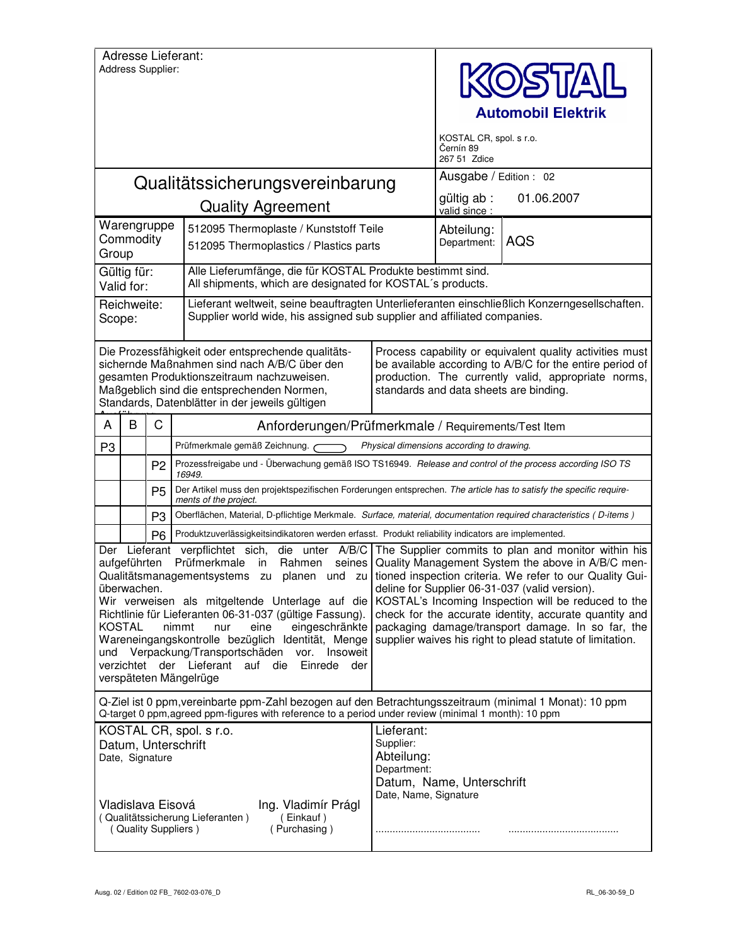|                                                                                                                                                                                                                                                                                                                                                                                                                                                                                                                                                                                                                                                         | Address Supplier:                    |                | <b>Adresse Lieferant:</b>                                                                                                                                                                                                                         |                                                                                                                                                                                                                       | <b>DISTAIL</b><br><b>Automobil Elektrik</b><br>KOSTAL CR, spol. s r.o. |                                                                                                                                                                                                                                                                                                                                        |  |
|---------------------------------------------------------------------------------------------------------------------------------------------------------------------------------------------------------------------------------------------------------------------------------------------------------------------------------------------------------------------------------------------------------------------------------------------------------------------------------------------------------------------------------------------------------------------------------------------------------------------------------------------------------|--------------------------------------|----------------|---------------------------------------------------------------------------------------------------------------------------------------------------------------------------------------------------------------------------------------------------|-----------------------------------------------------------------------------------------------------------------------------------------------------------------------------------------------------------------------|------------------------------------------------------------------------|----------------------------------------------------------------------------------------------------------------------------------------------------------------------------------------------------------------------------------------------------------------------------------------------------------------------------------------|--|
|                                                                                                                                                                                                                                                                                                                                                                                                                                                                                                                                                                                                                                                         |                                      |                |                                                                                                                                                                                                                                                   |                                                                                                                                                                                                                       | Černín 89<br>267 51 Zdice                                              |                                                                                                                                                                                                                                                                                                                                        |  |
|                                                                                                                                                                                                                                                                                                                                                                                                                                                                                                                                                                                                                                                         |                                      |                | Qualitätssicherungsvereinbarung                                                                                                                                                                                                                   |                                                                                                                                                                                                                       | Ausgabe / Edition : 02<br>gültig ab :                                  |                                                                                                                                                                                                                                                                                                                                        |  |
|                                                                                                                                                                                                                                                                                                                                                                                                                                                                                                                                                                                                                                                         |                                      |                | <b>Quality Agreement</b>                                                                                                                                                                                                                          |                                                                                                                                                                                                                       |                                                                        | 01.06.2007                                                                                                                                                                                                                                                                                                                             |  |
| Warengruppe<br>Commodity<br>Group                                                                                                                                                                                                                                                                                                                                                                                                                                                                                                                                                                                                                       |                                      |                | 512095 Thermoplaste / Kunststoff Teile<br>512095 Thermoplastics / Plastics parts                                                                                                                                                                  |                                                                                                                                                                                                                       |                                                                        | <b>AQS</b>                                                                                                                                                                                                                                                                                                                             |  |
| Gültig für:<br>Valid for:                                                                                                                                                                                                                                                                                                                                                                                                                                                                                                                                                                                                                               |                                      |                | Alle Lieferumfänge, die für KOSTAL Produkte bestimmt sind.<br>All shipments, which are designated for KOSTAL's products.                                                                                                                          |                                                                                                                                                                                                                       |                                                                        |                                                                                                                                                                                                                                                                                                                                        |  |
| Reichweite:<br>Scope:                                                                                                                                                                                                                                                                                                                                                                                                                                                                                                                                                                                                                                   |                                      |                | Lieferant weltweit, seine beauftragten Unterlieferanten einschließlich Konzerngesellschaften.<br>Supplier world wide, his assigned sub supplier and affiliated companies.                                                                         |                                                                                                                                                                                                                       |                                                                        |                                                                                                                                                                                                                                                                                                                                        |  |
|                                                                                                                                                                                                                                                                                                                                                                                                                                                                                                                                                                                                                                                         |                                      |                | Die Prozessfähigkeit oder entsprechende qualitäts-<br>sichernde Maßnahmen sind nach A/B/C über den<br>gesamten Produktionszeitraum nachzuweisen.<br>Maßgeblich sind die entsprechenden Normen,<br>Standards, Datenblätter in der jeweils gültigen | Process capability or equivalent quality activities must<br>be available according to A/B/C for the entire period of<br>production. The currently valid, appropriate norms,<br>standards and data sheets are binding. |                                                                        |                                                                                                                                                                                                                                                                                                                                        |  |
| A                                                                                                                                                                                                                                                                                                                                                                                                                                                                                                                                                                                                                                                       | B                                    | C              | Anforderungen/Prüfmerkmale / Requirements/Test Item                                                                                                                                                                                               |                                                                                                                                                                                                                       |                                                                        |                                                                                                                                                                                                                                                                                                                                        |  |
| P <sub>3</sub>                                                                                                                                                                                                                                                                                                                                                                                                                                                                                                                                                                                                                                          |                                      |                | Prüfmerkmale gemäß Zeichnung.<br>Physical dimensions according to drawing.                                                                                                                                                                        |                                                                                                                                                                                                                       |                                                                        |                                                                                                                                                                                                                                                                                                                                        |  |
|                                                                                                                                                                                                                                                                                                                                                                                                                                                                                                                                                                                                                                                         |                                      | P <sub>2</sub> | Prozessfreigabe und - Überwachung gemäß ISO TS16949. Release and control of the process according ISO TS<br>16949.                                                                                                                                |                                                                                                                                                                                                                       |                                                                        |                                                                                                                                                                                                                                                                                                                                        |  |
|                                                                                                                                                                                                                                                                                                                                                                                                                                                                                                                                                                                                                                                         |                                      | P <sub>5</sub> | Der Artikel muss den projektspezifischen Forderungen entsprechen. The article has to satisfy the specific require-<br>ments of the project.                                                                                                       |                                                                                                                                                                                                                       |                                                                        |                                                                                                                                                                                                                                                                                                                                        |  |
|                                                                                                                                                                                                                                                                                                                                                                                                                                                                                                                                                                                                                                                         |                                      | P <sub>3</sub> | Oberflächen, Material, D-pflichtige Merkmale. Surface, material, documentation required characteristics (D-items)                                                                                                                                 |                                                                                                                                                                                                                       |                                                                        |                                                                                                                                                                                                                                                                                                                                        |  |
|                                                                                                                                                                                                                                                                                                                                                                                                                                                                                                                                                                                                                                                         |                                      | P <sub>6</sub> | Produktzuverlässigkeitsindikatoren werden erfasst. Produkt reliability indicators are implemented.                                                                                                                                                |                                                                                                                                                                                                                       |                                                                        |                                                                                                                                                                                                                                                                                                                                        |  |
| Lieferant verpflichtet sich,<br>die unter A/B/C The Supplier commits to plan and monitor within his<br>Der<br>Prüfmerkmale<br>aufgeführten<br>Rahmen<br>seines<br>in<br>Qualitätsmanagementsystems zu planen und zu tioned inspection criteria. We refer to our Quality Gui-<br>überwachen.<br>Wir verweisen als mitgeltende Unterlage auf die<br>Richtlinie für Lieferanten 06-31-037 (gültige Fassung).<br><b>KOSTAL</b><br>nimmt<br>eine<br>eingeschränkte<br>nur<br>Wareneingangskontrolle bezüglich Identität, Menge<br>und Verpackung/Transportschäden vor. Insoweit<br>verzichtet der Lieferant auf die Einrede<br>der<br>verspäteten Mängelrüge |                                      |                |                                                                                                                                                                                                                                                   |                                                                                                                                                                                                                       |                                                                        | Quality Management System the above in A/B/C men-<br>deline for Supplier 06-31-037 (valid version).<br>KOSTAL's Incoming Inspection will be reduced to the<br>check for the accurate identity, accurate quantity and<br>packaging damage/transport damage. In so far, the<br>supplier waives his right to plead statute of limitation. |  |
| Q-Ziel ist 0 ppm, vereinbarte ppm-Zahl bezogen auf den Betrachtungsszeitraum (minimal 1 Monat): 10 ppm<br>Q-target 0 ppm, agreed ppm-figures with reference to a period under review (minimal 1 month): 10 ppm                                                                                                                                                                                                                                                                                                                                                                                                                                          |                                      |                |                                                                                                                                                                                                                                                   |                                                                                                                                                                                                                       |                                                                        |                                                                                                                                                                                                                                                                                                                                        |  |
|                                                                                                                                                                                                                                                                                                                                                                                                                                                                                                                                                                                                                                                         | Date, Signature<br>Vladislava Eisová |                | KOSTAL CR, spol. s r.o.<br>Datum, Unterschrift<br>Ing. Vladimír Prágl<br>(Qualitätssicherung Lieferanten)<br>(Einkauf)<br>(Quality Suppliers)<br>(Purchasing)                                                                                     | Lieferant:<br>Supplier:<br>Abteilung:<br>Department:<br>Datum, Name, Unterschrift<br>Date, Name, Signature                                                                                                            |                                                                        |                                                                                                                                                                                                                                                                                                                                        |  |